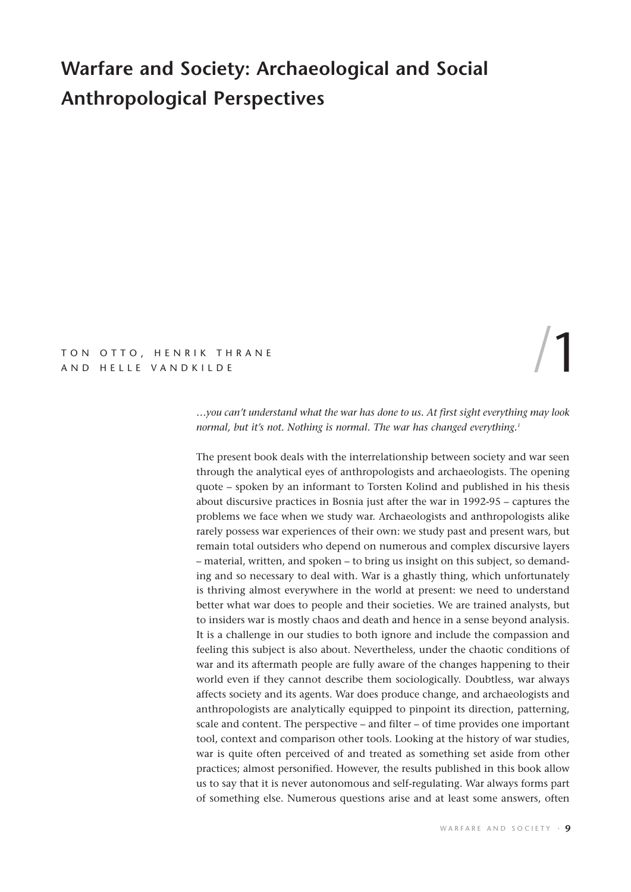## **Warfare and Society: Archaeological and Social Anthropological Perspectives**

# TON OTTO, HENRIK THRANE<br>AND HELLE VANDKILDE AND HELLE VANDKILDE

*…you can't understand what the war has done to us. At first sight everything may look normal, but it's not. Nothing is normal. The war has changed everything.1*

The present book deals with the interrelationship between society and war seen through the analytical eyes of anthropologists and archaeologists. The opening quote – spoken by an informant to Torsten Kolind and published in his thesis about discursive practices in Bosnia just after the war in 1992-95 – captures the problems we face when we study war. Archaeologists and anthropologists alike rarely possess war experiences of their own: we study past and present wars, but remain total outsiders who depend on numerous and complex discursive layers – material, written, and spoken – to bring us insight on this subject, so demanding and so necessary to deal with. War is a ghastly thing, which unfortunately is thriving almost everywhere in the world at present: we need to understand better what war does to people and their societies. We are trained analysts, but to insiders war is mostly chaos and death and hence in a sense beyond analysis. It is a challenge in our studies to both ignore and include the compassion and feeling this subject is also about. Nevertheless, under the chaotic conditions of war and its aftermath people are fully aware of the changes happening to their world even if they cannot describe them sociologically. Doubtless, war always affects society and its agents. War does produce change, and archaeologists and anthropologists are analytically equipped to pinpoint its direction, patterning, scale and content. The perspective – and filter – of time provides one important tool, context and comparison other tools. Looking at the history of war studies, war is quite often perceived of and treated as something set aside from other practices; almost personified. However, the results published in this book allow us to say that it is never autonomous and self-regulating. War always forms part of something else. Numerous questions arise and at least some answers, often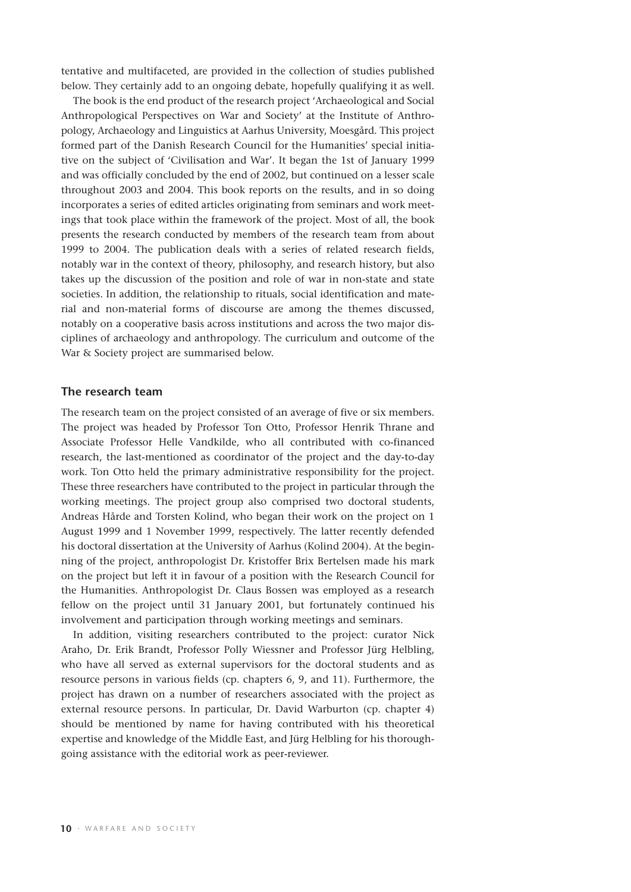tentative and multifaceted, are provided in the collection of studies published below. They certainly add to an ongoing debate, hopefully qualifying it as well.

The book is the end product of the research project 'Archaeological and Social Anthropological Perspectives on War and Society' at the Institute of Anthropology, Archaeology and Linguistics at Aarhus University, Moesgård. This project formed part of the Danish Research Council for the Humanities' special initiative on the subject of 'Civilisation and War'. It began the 1st of January 1999 and was officially concluded by the end of 2002, but continued on a lesser scale throughout 2003 and 2004. This book reports on the results, and in so doing incorporates a series of edited articles originating from seminars and work meetings that took place within the framework of the project. Most of all, the book presents the research conducted by members of the research team from about 1999 to 2004. The publication deals with a series of related research fields, notably war in the context of theory, philosophy, and research history, but also takes up the discussion of the position and role of war in non-state and state societies. In addition, the relationship to rituals, social identification and material and non-material forms of discourse are among the themes discussed, notably on a cooperative basis across institutions and across the two major disciplines of archaeology and anthropology. The curriculum and outcome of the War & Society project are summarised below.

#### **The research team**

The research team on the project consisted of an average of five or six members. The project was headed by Professor Ton Otto, Professor Henrik Thrane and Associate Professor Helle Vandkilde, who all contributed with co-financed research, the last-mentioned as coordinator of the project and the day-to-day work. Ton Otto held the primary administrative responsibility for the project. These three researchers have contributed to the project in particular through the working meetings. The project group also comprised two doctoral students, Andreas Hårde and Torsten Kolind, who began their work on the project on 1 August 1999 and 1 November 1999, respectively. The latter recently defended his doctoral dissertation at the University of Aarhus (Kolind 2004). At the beginning of the project, anthropologist Dr. Kristoffer Brix Bertelsen made his mark on the project but left it in favour of a position with the Research Council for the Humanities. Anthropologist Dr. Claus Bossen was employed as a research fellow on the project until 31 January 2001, but fortunately continued his involvement and participation through working meetings and seminars.

In addition, visiting researchers contributed to the project: curator Nick Araho, Dr. Erik Brandt, Professor Polly Wiessner and Professor Jürg Helbling, who have all served as external supervisors for the doctoral students and as resource persons in various fields (cp. chapters 6, 9, and 11). Furthermore, the project has drawn on a number of researchers associated with the project as external resource persons. In particular, Dr. David Warburton (cp. chapter 4) should be mentioned by name for having contributed with his theoretical expertise and knowledge of the Middle East, and Jürg Helbling for his thoroughgoing assistance with the editorial work as peer-reviewer.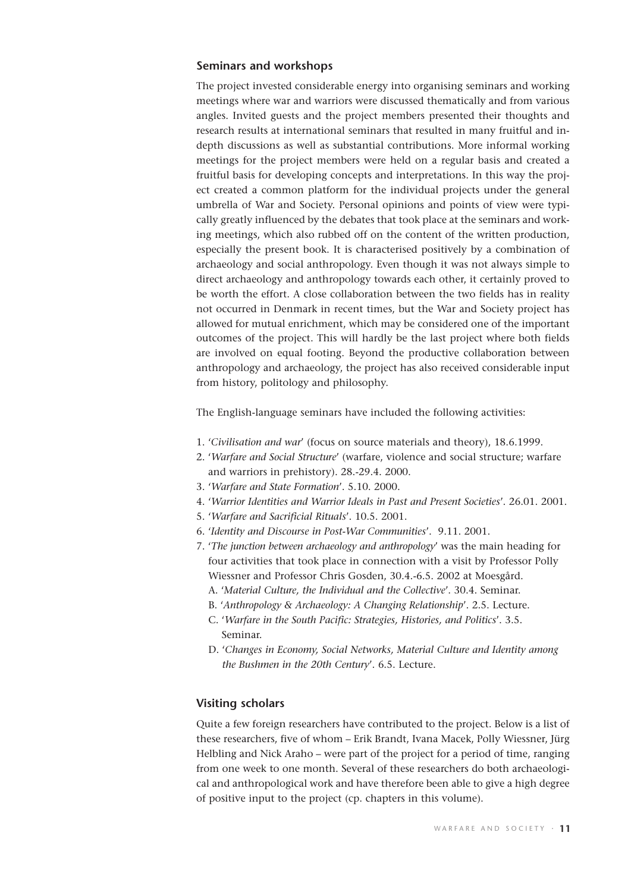#### **Seminars and workshops**

The project invested considerable energy into organising seminars and working meetings where war and warriors were discussed thematically and from various angles. Invited guests and the project members presented their thoughts and research results at international seminars that resulted in many fruitful and indepth discussions as well as substantial contributions. More informal working meetings for the project members were held on a regular basis and created a fruitful basis for developing concepts and interpretations. In this way the project created a common platform for the individual projects under the general umbrella of War and Society. Personal opinions and points of view were typically greatly influenced by the debates that took place at the seminars and working meetings, which also rubbed off on the content of the written production, especially the present book. It is characterised positively by a combination of archaeology and social anthropology. Even though it was not always simple to direct archaeology and anthropology towards each other, it certainly proved to be worth the effort. A close collaboration between the two fields has in reality not occurred in Denmark in recent times, but the War and Society project has allowed for mutual enrichment, which may be considered one of the important outcomes of the project. This will hardly be the last project where both fields are involved on equal footing. Beyond the productive collaboration between anthropology and archaeology, the project has also received considerable input from history, politology and philosophy.

The English-language seminars have included the following activities:

- 1. '*Civilisation and war*' (focus on source materials and theory), 18.6.1999.
- 2. '*Warfare and Social Structure*' (warfare, violence and social structure; warfare and warriors in prehistory). 28.-29.4. 2000.
- 3. '*Warfare and State Formation*'. 5.10. 2000.
- 4. '*Warrior Identities and Warrior Ideals in Past and Present Societies*'. 26.01. 2001.
- 5. '*Warfare and Sacrificial Rituals*'. 10.5. 2001.
- 6. '*Identity and Discourse in Post-War Communities*'. 9.11. 2001.
- 7. '*The junction between archaeology and anthropology*' was the main heading for four activities that took place in connection with a visit by Professor Polly Wiessner and Professor Chris Gosden, 30.4.-6.5. 2002 at Moesgård. A. '*Material Culture, the Individual and the Collective*'. 30.4. Seminar.
	- B. '*Anthropology & Archaeology: A Changing Relationship*'. 2.5. Lecture.
	- C. '*Warfare in the South Pacific: Strategies, Histories, and Politics*'. 3.5. Seminar.
	- D. '*Changes in Economy, Social Networks, Material Culture and Identity among the Bushmen in the 20th Century*'. 6.5. Lecture.

### **Visiting scholars**

Quite a few foreign researchers have contributed to the project. Below is a list of these researchers, five of whom – Erik Brandt, Ivana Macek, Polly Wiessner, Jürg Helbling and Nick Araho – were part of the project for a period of time, ranging from one week to one month. Several of these researchers do both archaeological and anthropological work and have therefore been able to give a high degree of positive input to the project (cp. chapters in this volume).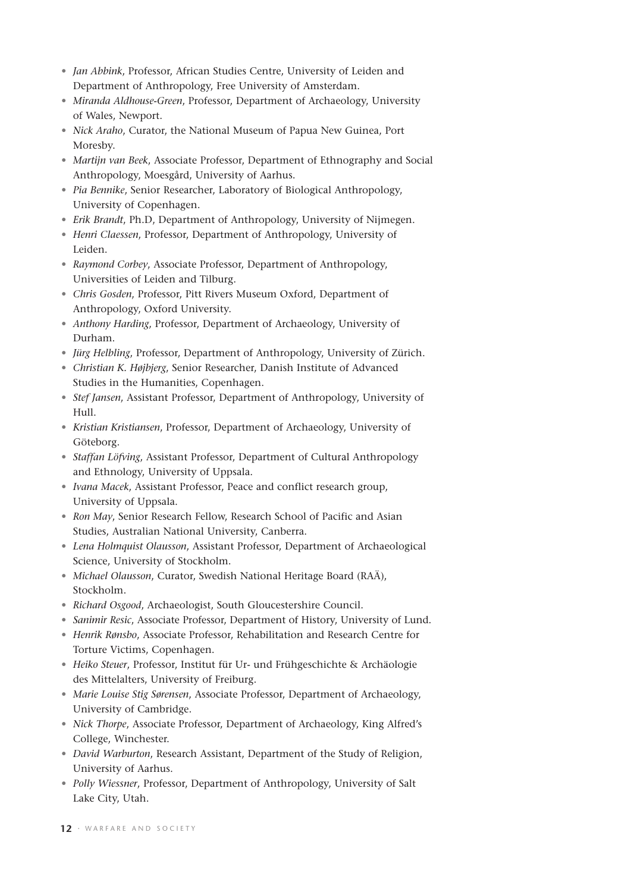- *• Jan Abbink*, Professor, African Studies Centre, University of Leiden and Department of Anthropology, Free University of Amsterdam.
- *• Miranda Aldhouse-Green*, Professor, Department of Archaeology, University of Wales, Newport.
- *• Nick Araho*, Curator, the National Museum of Papua New Guinea, Port Moresby.
- *• Martijn van Beek*, Associate Professor, Department of Ethnography and Social Anthropology, Moesgård, University of Aarhus.
- *• Pia Bennike*, Senior Researcher, Laboratory of Biological Anthropology, University of Copenhagen.
- *• Erik Brandt*, Ph.D, Department of Anthropology, University of Nijmegen.
- *• Henri Claessen*, Professor, Department of Anthropology, University of Leiden.
- *• Raymond Corbey*, Associate Professor, Department of Anthropology, Universities of Leiden and Tilburg.
- *• Chris Gosden*, Professor, Pitt Rivers Museum Oxford, Department of Anthropology, Oxford University.
- *• Anthony Harding*, Professor, Department of Archaeology, University of Durham.
- *• Jürg Helbling*, Professor, Department of Anthropology, University of Zürich.
- *• Christian K. Højbjerg*, Senior Researcher, Danish Institute of Advanced Studies in the Humanities, Copenhagen.
- *• Stef Jansen*, Assistant Professor, Department of Anthropology, University of Hull.
- *• Kristian Kristiansen*, Professor, Department of Archaeology, University of Göteborg.
- *• Staffan Löfving*, Assistant Professor, Department of Cultural Anthropology and Ethnology, University of Uppsala.
- *• Ivana Macek*, Assistant Professor, Peace and conflict research group, University of Uppsala.
- *• Ron May*, Senior Research Fellow, Research School of Pacific and Asian Studies, Australian National University, Canberra.
- *• Lena Holmquist Olausson*, Assistant Professor, Department of Archaeological Science, University of Stockholm.
- *• Michael Olausson*, Curator, Swedish National Heritage Board (RAÄ), Stockholm.
- *• Richard Osgood*, Archaeologist, South Gloucestershire Council.
- *• Sanimir Resic*, Associate Professor, Department of History, University of Lund.
- *• Henrik Rønsbo*, Associate Professor, Rehabilitation and Research Centre for Torture Victims, Copenhagen.
- *• Heiko Steuer*, Professor, Institut für Ur- und Frühgeschichte & Archäologie des Mittelalters, University of Freiburg.
- *• Marie Louise Stig Sørensen*, Associate Professor, Department of Archaeology, University of Cambridge.
- *• Nick Thorpe*, Associate Professor, Department of Archaeology, King Alfred's College, Winchester.
- *• David Warburton*, Research Assistant, Department of the Study of Religion, University of Aarhus.
- *• Polly Wiessner*, Professor, Department of Anthropology, University of Salt Lake City, Utah.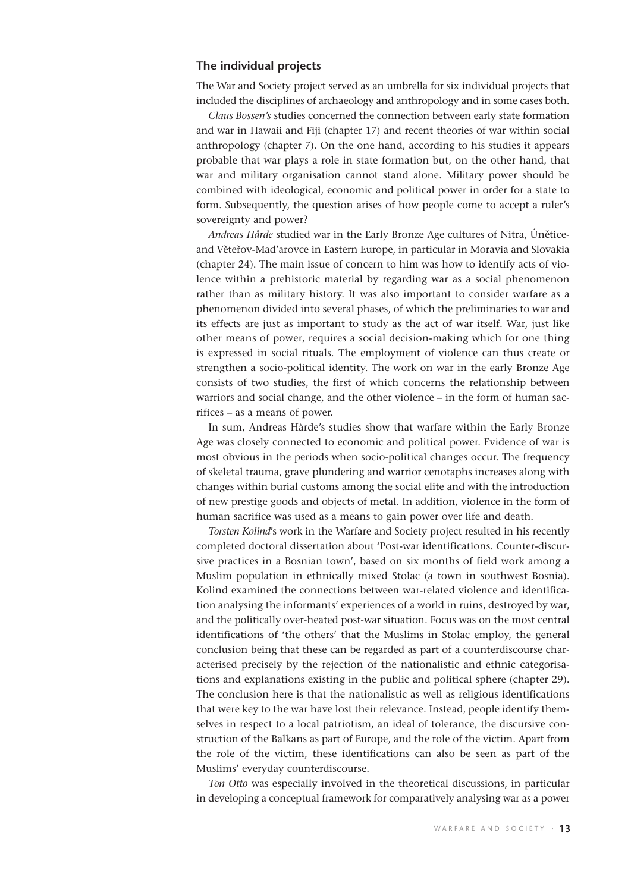#### **The individual projects**

The War and Society project served as an umbrella for six individual projects that included the disciplines of archaeology and anthropology and in some cases both.

*Claus Bossen's* studies concerned the connection between early state formation and war in Hawaii and Fiji (chapter 17) and recent theories of war within social anthropology (chapter 7). On the one hand, according to his studies it appears probable that war plays a role in state formation but, on the other hand, that war and military organisation cannot stand alone. Military power should be combined with ideological, economic and political power in order for a state to form. Subsequently, the question arises of how people come to accept a ruler's sovereignty and power?

*Andreas Hårde* studied war in the Early Bronze Age cultures of Nitra, Uněticeand Věteřov-Mad'arovce in Eastern Europe, in particular in Moravia and Slovakia (chapter 24). The main issue of concern to him was how to identify acts of violence within a prehistoric material by regarding war as a social phenomenon rather than as military history. It was also important to consider warfare as a phenomenon divided into several phases, of which the preliminaries to war and its effects are just as important to study as the act of war itself. War, just like other means of power, requires a social decision-making which for one thing is expressed in social rituals. The employment of violence can thus create or strengthen a socio-political identity. The work on war in the early Bronze Age consists of two studies, the first of which concerns the relationship between warriors and social change, and the other violence – in the form of human sacrifices – as a means of power.

In sum, Andreas Hårde's studies show that warfare within the Early Bronze Age was closely connected to economic and political power. Evidence of war is most obvious in the periods when socio-political changes occur. The frequency of skeletal trauma, grave plundering and warrior cenotaphs increases along with changes within burial customs among the social elite and with the introduction of new prestige goods and objects of metal. In addition, violence in the form of human sacrifice was used as a means to gain power over life and death.

*Torsten Kolind*'s work in the Warfare and Society project resulted in his recently completed doctoral dissertation about 'Post-war identifications. Counter-discursive practices in a Bosnian town', based on six months of field work among a Muslim population in ethnically mixed Stolac (a town in southwest Bosnia). Kolind examined the connections between war-related violence and identification analysing the informants' experiences of a world in ruins, destroyed by war, and the politically over-heated post-war situation. Focus was on the most central identifications of 'the others' that the Muslims in Stolac employ, the general conclusion being that these can be regarded as part of a counterdiscourse characterised precisely by the rejection of the nationalistic and ethnic categorisations and explanations existing in the public and political sphere (chapter 29). The conclusion here is that the nationalistic as well as religious identifications that were key to the war have lost their relevance. Instead, people identify themselves in respect to a local patriotism, an ideal of tolerance, the discursive construction of the Balkans as part of Europe, and the role of the victim. Apart from the role of the victim, these identifications can also be seen as part of the Muslims' everyday counterdiscourse.

*Ton Otto* was especially involved in the theoretical discussions, in particular in developing a conceptual framework for comparatively analysing war as a power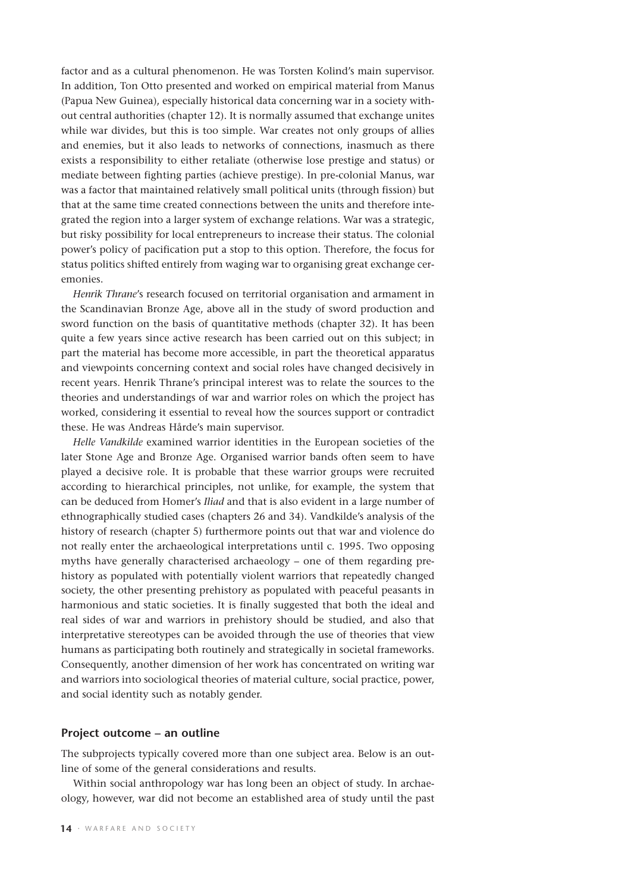factor and as a cultural phenomenon. He was Torsten Kolind's main supervisor. In addition, Ton Otto presented and worked on empirical material from Manus (Papua New Guinea), especially historical data concerning war in a society without central authorities (chapter 12). It is normally assumed that exchange unites while war divides, but this is too simple. War creates not only groups of allies and enemies, but it also leads to networks of connections, inasmuch as there exists a responsibility to either retaliate (otherwise lose prestige and status) or mediate between fighting parties (achieve prestige). In pre-colonial Manus, war was a factor that maintained relatively small political units (through fission) but that at the same time created connections between the units and therefore integrated the region into a larger system of exchange relations. War was a strategic, but risky possibility for local entrepreneurs to increase their status. The colonial power's policy of pacification put a stop to this option. Therefore, the focus for status politics shifted entirely from waging war to organising great exchange ceremonies.

*Henrik Thrane*'s research focused on territorial organisation and armament in the Scandinavian Bronze Age, above all in the study of sword production and sword function on the basis of quantitative methods (chapter 32). It has been quite a few years since active research has been carried out on this subject; in part the material has become more accessible, in part the theoretical apparatus and viewpoints concerning context and social roles have changed decisively in recent years. Henrik Thrane's principal interest was to relate the sources to the theories and understandings of war and warrior roles on which the project has worked, considering it essential to reveal how the sources support or contradict these. He was Andreas Hårde's main supervisor.

*Helle Vandkilde* examined warrior identities in the European societies of the later Stone Age and Bronze Age. Organised warrior bands often seem to have played a decisive role. It is probable that these warrior groups were recruited according to hierarchical principles, not unlike, for example, the system that can be deduced from Homer's *Iliad* and that is also evident in a large number of ethnographically studied cases (chapters 26 and 34). Vandkilde's analysis of the history of research (chapter 5) furthermore points out that war and violence do not really enter the archaeological interpretations until c. 1995. Two opposing myths have generally characterised archaeology – one of them regarding prehistory as populated with potentially violent warriors that repeatedly changed society, the other presenting prehistory as populated with peaceful peasants in harmonious and static societies. It is finally suggested that both the ideal and real sides of war and warriors in prehistory should be studied, and also that interpretative stereotypes can be avoided through the use of theories that view humans as participating both routinely and strategically in societal frameworks. Consequently, another dimension of her work has concentrated on writing war and warriors into sociological theories of material culture, social practice, power, and social identity such as notably gender.

#### **Project outcome – an outline**

The subprojects typically covered more than one subject area. Below is an outline of some of the general considerations and results.

Within social anthropology war has long been an object of study. In archaeology, however, war did not become an established area of study until the past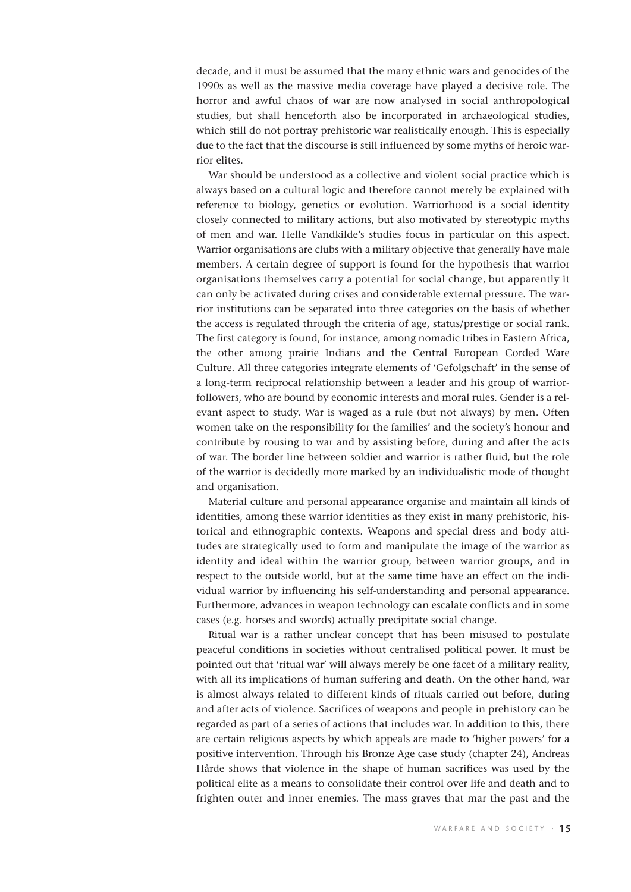decade, and it must be assumed that the many ethnic wars and genocides of the 1990s as well as the massive media coverage have played a decisive role. The horror and awful chaos of war are now analysed in social anthropological studies, but shall henceforth also be incorporated in archaeological studies, which still do not portray prehistoric war realistically enough. This is especially due to the fact that the discourse is still influenced by some myths of heroic warrior elites.

War should be understood as a collective and violent social practice which is always based on a cultural logic and therefore cannot merely be explained with reference to biology, genetics or evolution. Warriorhood is a social identity closely connected to military actions, but also motivated by stereotypic myths of men and war. Helle Vandkilde's studies focus in particular on this aspect. Warrior organisations are clubs with a military objective that generally have male members. A certain degree of support is found for the hypothesis that warrior organisations themselves carry a potential for social change, but apparently it can only be activated during crises and considerable external pressure. The warrior institutions can be separated into three categories on the basis of whether the access is regulated through the criteria of age, status/prestige or social rank. The first category is found, for instance, among nomadic tribes in Eastern Africa, the other among prairie Indians and the Central European Corded Ware Culture. All three categories integrate elements of 'Gefolgschaft' in the sense of a long-term reciprocal relationship between a leader and his group of warriorfollowers, who are bound by economic interests and moral rules. Gender is a relevant aspect to study. War is waged as a rule (but not always) by men. Often women take on the responsibility for the families' and the society's honour and contribute by rousing to war and by assisting before, during and after the acts of war. The border line between soldier and warrior is rather fluid, but the role of the warrior is decidedly more marked by an individualistic mode of thought and organisation.

Material culture and personal appearance organise and maintain all kinds of identities, among these warrior identities as they exist in many prehistoric, historical and ethnographic contexts. Weapons and special dress and body attitudes are strategically used to form and manipulate the image of the warrior as identity and ideal within the warrior group, between warrior groups, and in respect to the outside world, but at the same time have an effect on the individual warrior by influencing his self-understanding and personal appearance. Furthermore, advances in weapon technology can escalate conflicts and in some cases (e.g. horses and swords) actually precipitate social change.

Ritual war is a rather unclear concept that has been misused to postulate peaceful conditions in societies without centralised political power. It must be pointed out that 'ritual war' will always merely be one facet of a military reality, with all its implications of human suffering and death. On the other hand, war is almost always related to different kinds of rituals carried out before, during and after acts of violence. Sacrifices of weapons and people in prehistory can be regarded as part of a series of actions that includes war. In addition to this, there are certain religious aspects by which appeals are made to 'higher powers' for a positive intervention. Through his Bronze Age case study (chapter 24), Andreas Hårde shows that violence in the shape of human sacrifices was used by the political elite as a means to consolidate their control over life and death and to frighten outer and inner enemies. The mass graves that mar the past and the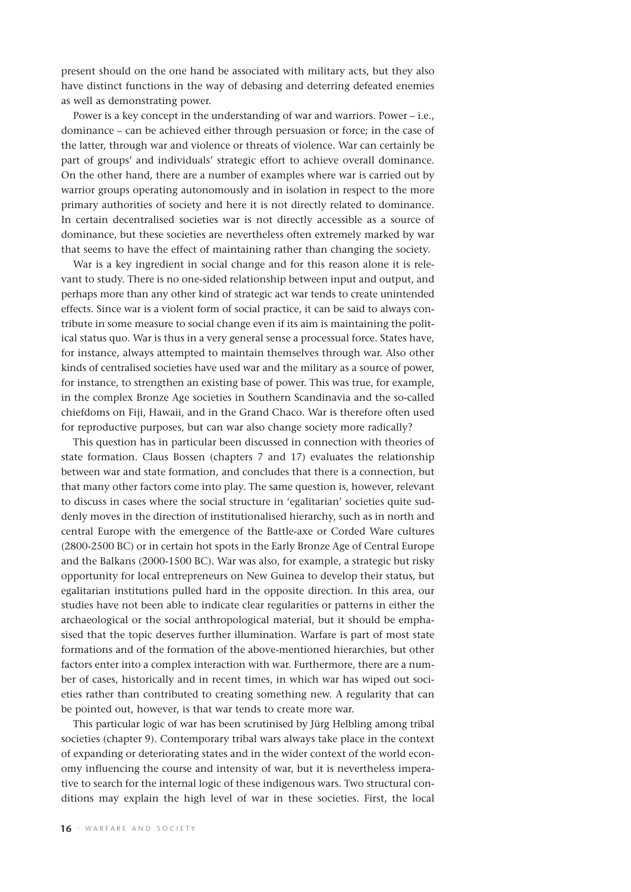present should on the one hand be associated with military acts, but they also have distinct functions in the way of debasing and deterring defeated enemies as well as demonstrating power.

Power is a key concept in the understanding of war and warriors. Power – i.e., dominance – can be achieved either through persuasion or force; in the case of the latter, through war and violence or threats of violence. War can certainly be part of groups' and individuals' strategic effort to achieve overall dominance. On the other hand, there are a number of examples where war is carried out by warrior groups operating autonomously and in isolation in respect to the more primary authorities of society and here it is not directly related to dominance. In certain decentralised societies war is not directly accessible as a source of dominance, but these societies are nevertheless often extremely marked by war that seems to have the effect of maintaining rather than changing the society.

War is a key ingredient in social change and for this reason alone it is relevant to study. There is no one-sided relationship between input and output, and perhaps more than any other kind of strategic act war tends to create unintended effects. Since war is a violent form of social practice, it can be said to always contribute in some measure to social change even if its aim is maintaining the political status quo. War is thus in a very general sense a processual force. States have, for instance, always attempted to maintain themselves through war. Also other kinds of centralised societies have used war and the military as a source of power, for instance, to strengthen an existing base of power. This was true, for example, in the complex Bronze Age societies in Southern Scandinavia and the so-called chiefdoms on Fiji, Hawaii, and in the Grand Chaco. War is therefore often used for reproductive purposes, but can war also change society more radically?

This question has in particular been discussed in connection with theories of state formation. Claus Bossen (chapters 7 and 17) evaluates the relationship between war and state formation, and concludes that there is a connection, but that many other factors come into play. The same question is, however, relevant to discuss in cases where the social structure in 'egalitarian' societies quite suddenly moves in the direction of institutionalised hierarchy, such as in north and central Europe with the emergence of the Battle-axe or Corded Ware cultures (2800-2500 BC) or in certain hot spots in the Early Bronze Age of Central Europe and the Balkans (2000-1500 BC). War was also, for example, a strategic but risky opportunity for local entrepreneurs on New Guinea to develop their status, but egalitarian institutions pulled hard in the opposite direction. In this area, our studies have not been able to indicate clear regularities or patterns in either the archaeological or the social anthropological material, but it should be emphasised that the topic deserves further illumination. Warfare is part of most state formations and of the formation of the above-mentioned hierarchies, but other factors enter into a complex interaction with war. Furthermore, there are a number of cases, historically and in recent times, in which war has wiped out societies rather than contributed to creating something new. A regularity that can be pointed out, however, is that war tends to create more war.

This particular logic of war has been scrutinised by Jürg Helbling among tribal societies (chapter 9). Contemporary tribal wars always take place in the context of expanding or deteriorating states and in the wider context of the world economy influencing the course and intensity of war, but it is nevertheless imperative to search for the internal logic of these indigenous wars. Two structural conditions may explain the high level of war in these societies. First, the local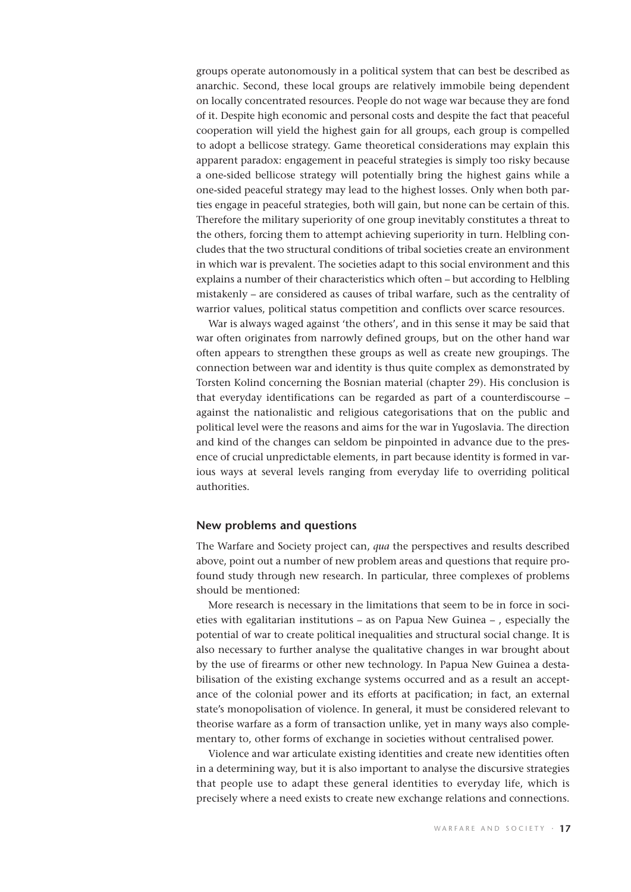groups operate autonomously in a political system that can best be described as anarchic. Second, these local groups are relatively immobile being dependent on locally concentrated resources. People do not wage war because they are fond of it. Despite high economic and personal costs and despite the fact that peaceful cooperation will yield the highest gain for all groups, each group is compelled to adopt a bellicose strategy. Game theoretical considerations may explain this apparent paradox: engagement in peaceful strategies is simply too risky because a one-sided bellicose strategy will potentially bring the highest gains while a one-sided peaceful strategy may lead to the highest losses. Only when both parties engage in peaceful strategies, both will gain, but none can be certain of this. Therefore the military superiority of one group inevitably constitutes a threat to the others, forcing them to attempt achieving superiority in turn. Helbling concludes that the two structural conditions of tribal societies create an environment in which war is prevalent. The societies adapt to this social environment and this explains a number of their characteristics which often – but according to Helbling mistakenly – are considered as causes of tribal warfare, such as the centrality of warrior values, political status competition and conflicts over scarce resources.

War is always waged against 'the others', and in this sense it may be said that war often originates from narrowly defined groups, but on the other hand war often appears to strengthen these groups as well as create new groupings. The connection between war and identity is thus quite complex as demonstrated by Torsten Kolind concerning the Bosnian material (chapter 29). His conclusion is that everyday identifications can be regarded as part of a counterdiscourse – against the nationalistic and religious categorisations that on the public and political level were the reasons and aims for the war in Yugoslavia. The direction and kind of the changes can seldom be pinpointed in advance due to the presence of crucial unpredictable elements, in part because identity is formed in various ways at several levels ranging from everyday life to overriding political authorities.

#### **New problems and questions**

The Warfare and Society project can, *qua* the perspectives and results described above, point out a number of new problem areas and questions that require profound study through new research. In particular, three complexes of problems should be mentioned:

More research is necessary in the limitations that seem to be in force in societies with egalitarian institutions – as on Papua New Guinea – , especially the potential of war to create political inequalities and structural social change. It is also necessary to further analyse the qualitative changes in war brought about by the use of firearms or other new technology. In Papua New Guinea a destabilisation of the existing exchange systems occurred and as a result an acceptance of the colonial power and its efforts at pacification; in fact, an external state's monopolisation of violence. In general, it must be considered relevant to theorise warfare as a form of transaction unlike, yet in many ways also complementary to, other forms of exchange in societies without centralised power.

Violence and war articulate existing identities and create new identities often in a determining way, but it is also important to analyse the discursive strategies that people use to adapt these general identities to everyday life, which is precisely where a need exists to create new exchange relations and connections.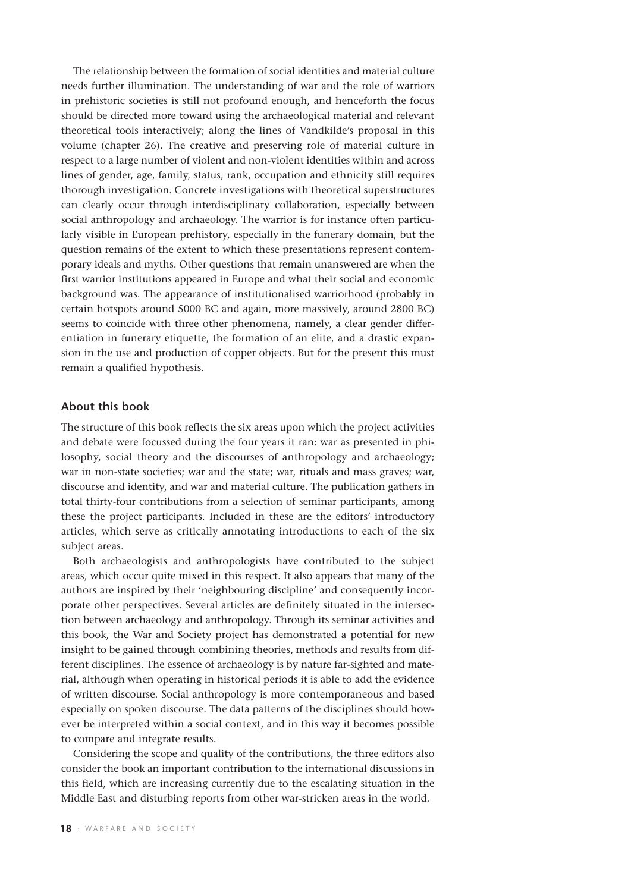The relationship between the formation of social identities and material culture needs further illumination. The understanding of war and the role of warriors in prehistoric societies is still not profound enough, and henceforth the focus should be directed more toward using the archaeological material and relevant theoretical tools interactively; along the lines of Vandkilde's proposal in this volume (chapter 26). The creative and preserving role of material culture in respect to a large number of violent and non-violent identities within and across lines of gender, age, family, status, rank, occupation and ethnicity still requires thorough investigation. Concrete investigations with theoretical superstructures can clearly occur through interdisciplinary collaboration, especially between social anthropology and archaeology. The warrior is for instance often particularly visible in European prehistory, especially in the funerary domain, but the question remains of the extent to which these presentations represent contemporary ideals and myths. Other questions that remain unanswered are when the first warrior institutions appeared in Europe and what their social and economic background was. The appearance of institutionalised warriorhood (probably in certain hotspots around 5000 BC and again, more massively, around 2800 BC) seems to coincide with three other phenomena, namely, a clear gender differentiation in funerary etiquette, the formation of an elite, and a drastic expansion in the use and production of copper objects. But for the present this must remain a qualified hypothesis.

#### **About this book**

The structure of this book reflects the six areas upon which the project activities and debate were focussed during the four years it ran: war as presented in philosophy, social theory and the discourses of anthropology and archaeology; war in non-state societies; war and the state; war, rituals and mass graves; war, discourse and identity, and war and material culture. The publication gathers in total thirty-four contributions from a selection of seminar participants, among these the project participants. Included in these are the editors' introductory articles, which serve as critically annotating introductions to each of the six subject areas.

Both archaeologists and anthropologists have contributed to the subject areas, which occur quite mixed in this respect. It also appears that many of the authors are inspired by their 'neighbouring discipline' and consequently incorporate other perspectives. Several articles are definitely situated in the intersection between archaeology and anthropology. Through its seminar activities and this book, the War and Society project has demonstrated a potential for new insight to be gained through combining theories, methods and results from different disciplines. The essence of archaeology is by nature far-sighted and material, although when operating in historical periods it is able to add the evidence of written discourse. Social anthropology is more contemporaneous and based especially on spoken discourse. The data patterns of the disciplines should however be interpreted within a social context, and in this way it becomes possible to compare and integrate results.

Considering the scope and quality of the contributions, the three editors also consider the book an important contribution to the international discussions in this field, which are increasing currently due to the escalating situation in the Middle East and disturbing reports from other war-stricken areas in the world.